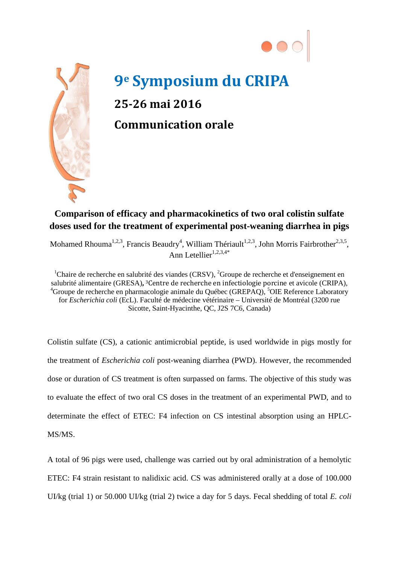



## **9e Symposium du CRIPA 25-26 mai 2016 Communication orale**

## **Comparison of efficacy and pharmacokinetics of two oral colistin sulfate doses used for the treatment of experimental post-weaning diarrhea in pigs**

Mohamed Rhouma<sup>1,2,3</sup>, Francis Beaudry<sup>4</sup>, William Thériault<sup>1,2,3</sup>, John Morris Fairbrother<sup>2,3,5</sup>, Ann Letellier<sup>1,2,3,4\*</sup>

<sup>1</sup>Chaire de recherche en salubrité des viandes (CRSV), <sup>2</sup>Groupe de recherche et d'enseignement en salubrité alimentaire (GRESA)**,** 3Centre de recherche en infectiologie porcine et avicole (CRIPA), 4 Groupe de recherche en pharmacologie animale du Québec (GREPAQ), <sup>5</sup>OIE Reference Laboratory for *Escherichia coli* (EcL). Faculté de médecine vétérinaire – Université de Montréal (3200 rue Sicotte, Saint-Hyacinthe, QC, J2S 7C6, Canada)

Colistin sulfate (CS), a cationic antimicrobial peptide, is used worldwide in pigs mostly for the treatment of *Escherichia coli* post-weaning diarrhea (PWD). However, the recommended dose or duration of CS treatment is often surpassed on farms. The objective of this study was to evaluate the effect of two oral CS doses in the treatment of an experimental PWD, and to determinate the effect of ETEC: F4 infection on CS intestinal absorption using an HPLC-MS/MS.

A total of 96 pigs were used, challenge was carried out by oral administration of a hemolytic ETEC: F4 strain resistant to nalidixic acid. CS was administered orally at a dose of 100.000 UI/kg (trial 1) or 50.000 UI/kg (trial 2) twice a day for 5 days. Fecal shedding of total *E. coli*